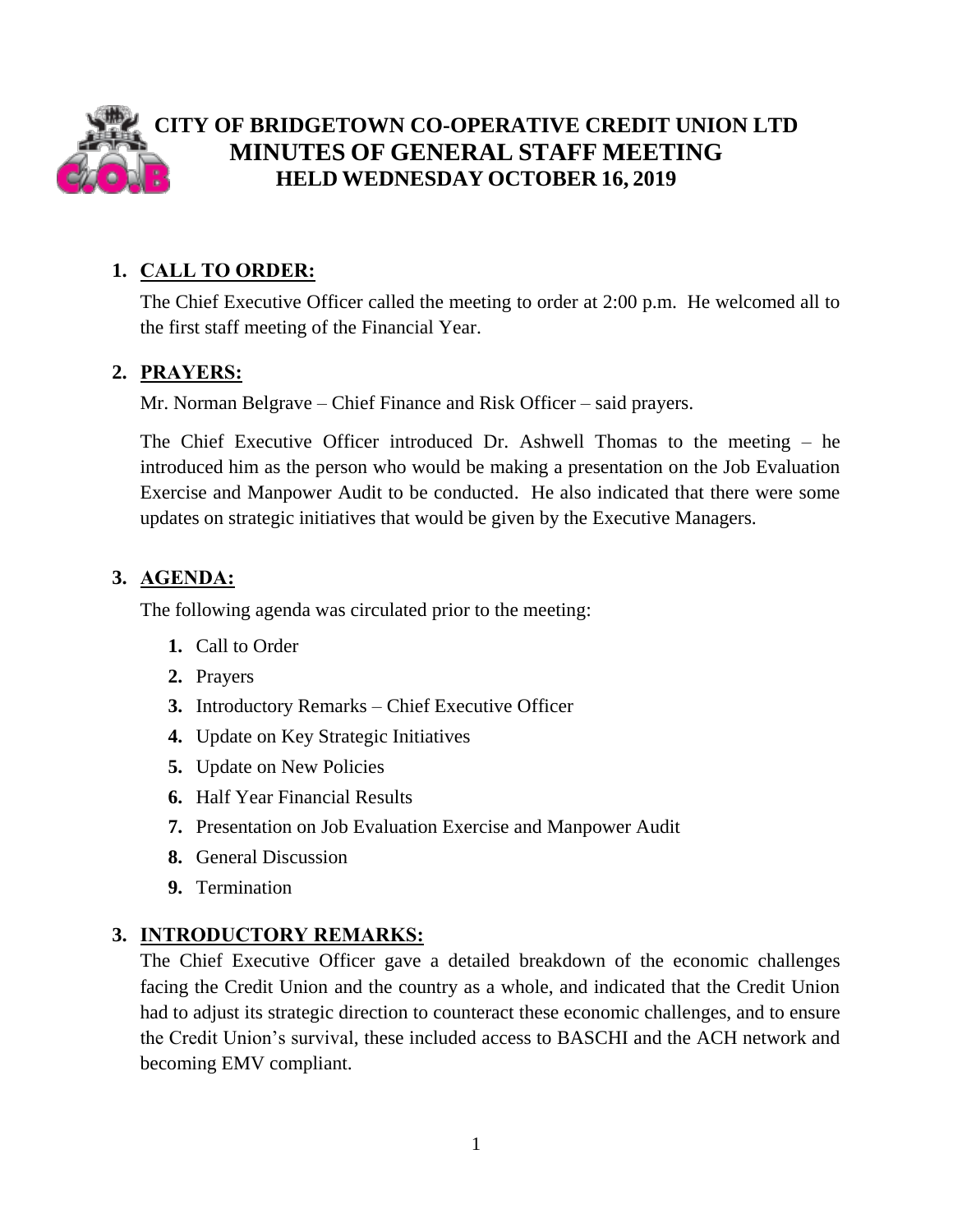

# **CITY OF BRIDGETOWN CO-OPERATIVE CREDIT UNION LTD MINUTES OF GENERAL STAFF MEETING HELD WEDNESDAY OCTOBER 16, 2019**

## **1. CALL TO ORDER:**

The Chief Executive Officer called the meeting to order at 2:00 p.m. He welcomed all to the first staff meeting of the Financial Year.

## **2. PRAYERS:**

Mr. Norman Belgrave – Chief Finance and Risk Officer – said prayers.

The Chief Executive Officer introduced Dr. Ashwell Thomas to the meeting – he introduced him as the person who would be making a presentation on the Job Evaluation Exercise and Manpower Audit to be conducted. He also indicated that there were some updates on strategic initiatives that would be given by the Executive Managers.

## **3. AGENDA:**

The following agenda was circulated prior to the meeting:

- **1.** Call to Order
- **2.** Prayers
- **3.** Introductory Remarks Chief Executive Officer
- **4.** Update on Key Strategic Initiatives
- **5.** Update on New Policies
- **6.** Half Year Financial Results
- **7.** Presentation on Job Evaluation Exercise and Manpower Audit
- **8.** General Discussion
- **9.** Termination

## **3. INTRODUCTORY REMARKS:**

The Chief Executive Officer gave a detailed breakdown of the economic challenges facing the Credit Union and the country as a whole, and indicated that the Credit Union had to adjust its strategic direction to counteract these economic challenges, and to ensure the Credit Union's survival, these included access to BASCHI and the ACH network and becoming EMV compliant.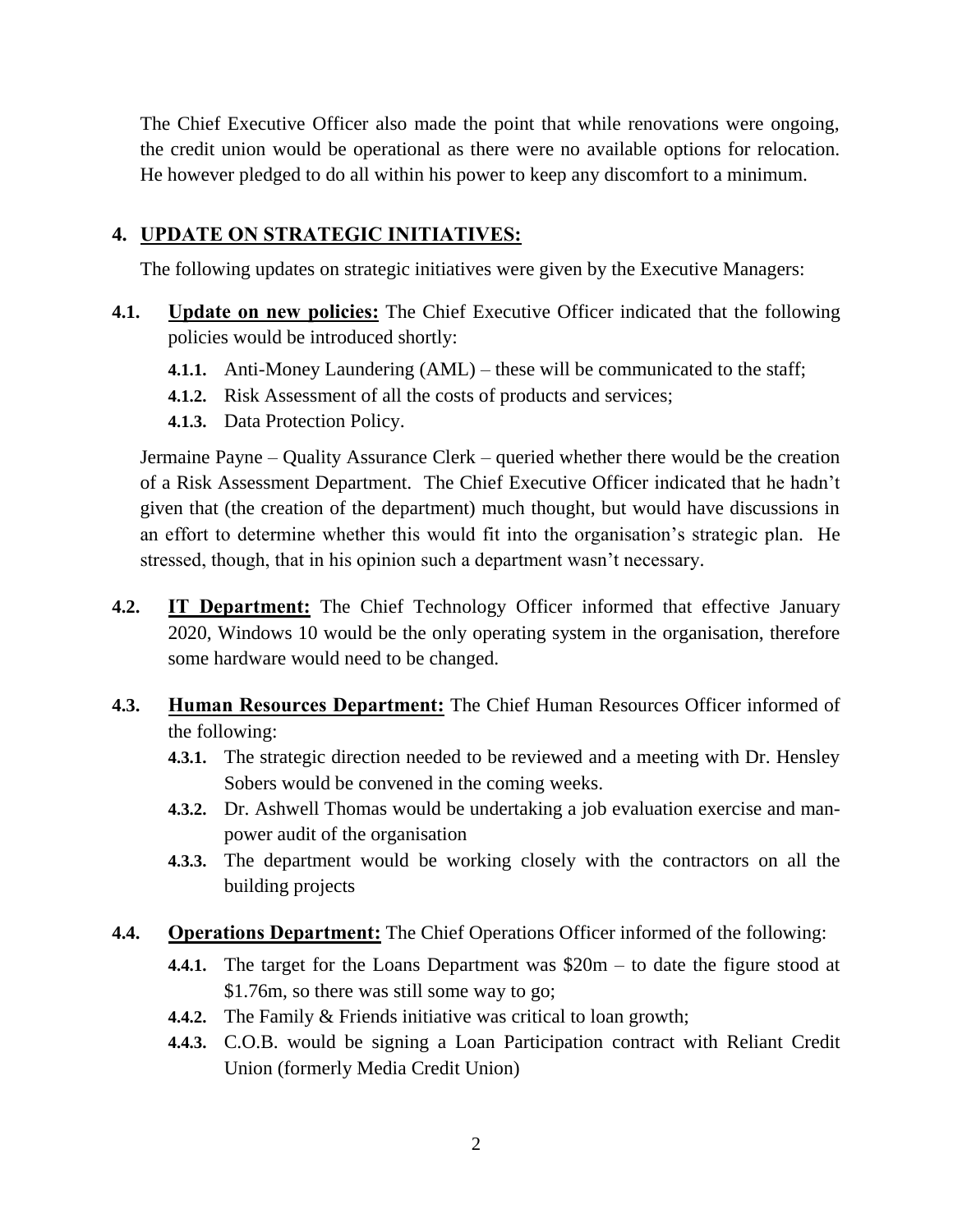The Chief Executive Officer also made the point that while renovations were ongoing, the credit union would be operational as there were no available options for relocation. He however pledged to do all within his power to keep any discomfort to a minimum.

## **4. UPDATE ON STRATEGIC INITIATIVES:**

The following updates on strategic initiatives were given by the Executive Managers:

- **4.1. Update on new policies:** The Chief Executive Officer indicated that the following policies would be introduced shortly:
	- **4.1.1.** Anti-Money Laundering (AML) these will be communicated to the staff;
	- **4.1.2.** Risk Assessment of all the costs of products and services;
	- **4.1.3.** Data Protection Policy.

Jermaine Payne – Quality Assurance Clerk – queried whether there would be the creation of a Risk Assessment Department. The Chief Executive Officer indicated that he hadn't given that (the creation of the department) much thought, but would have discussions in an effort to determine whether this would fit into the organisation's strategic plan. He stressed, though, that in his opinion such a department wasn't necessary.

- **4.2. IT Department:** The Chief Technology Officer informed that effective January 2020, Windows 10 would be the only operating system in the organisation, therefore some hardware would need to be changed.
- **4.3. Human Resources Department:** The Chief Human Resources Officer informed of the following:
	- **4.3.1.** The strategic direction needed to be reviewed and a meeting with Dr. Hensley Sobers would be convened in the coming weeks.
	- **4.3.2.** Dr. Ashwell Thomas would be undertaking a job evaluation exercise and manpower audit of the organisation
	- **4.3.3.** The department would be working closely with the contractors on all the building projects
- **4.4. Operations Department:** The Chief Operations Officer informed of the following:
	- **4.4.1.** The target for the Loans Department was \$20m to date the figure stood at \$1.76m, so there was still some way to go;
	- **4.4.2.** The Family & Friends initiative was critical to loan growth;
	- **4.4.3.** C.O.B. would be signing a Loan Participation contract with Reliant Credit Union (formerly Media Credit Union)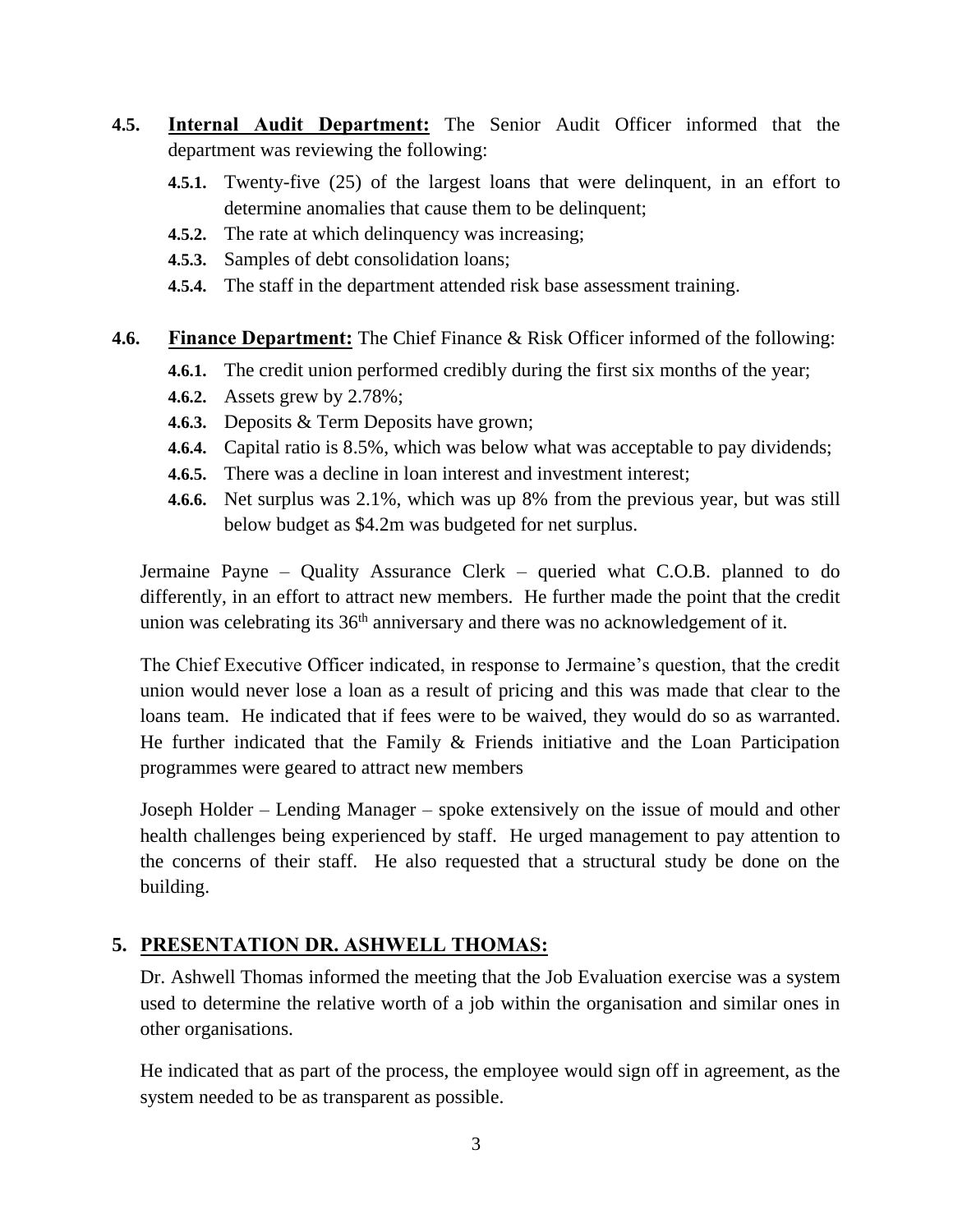- **4.5. Internal Audit Department:** The Senior Audit Officer informed that the department was reviewing the following:
	- **4.5.1.** Twenty-five (25) of the largest loans that were delinquent, in an effort to determine anomalies that cause them to be delinquent;
	- **4.5.2.** The rate at which delinquency was increasing;
	- **4.5.3.** Samples of debt consolidation loans;
	- **4.5.4.** The staff in the department attended risk base assessment training.

#### **4.6. Finance Department:** The Chief Finance & Risk Officer informed of the following:

- **4.6.1.** The credit union performed credibly during the first six months of the year;
- **4.6.2.** Assets grew by 2.78%;
- **4.6.3.** Deposits & Term Deposits have grown;
- **4.6.4.** Capital ratio is 8.5%, which was below what was acceptable to pay dividends;
- **4.6.5.** There was a decline in loan interest and investment interest;
- **4.6.6.** Net surplus was 2.1%, which was up 8% from the previous year, but was still below budget as \$4.2m was budgeted for net surplus.

Jermaine Payne – Quality Assurance Clerk – queried what C.O.B. planned to do differently, in an effort to attract new members. He further made the point that the credit union was celebrating its  $36<sup>th</sup>$  anniversary and there was no acknowledgement of it.

The Chief Executive Officer indicated, in response to Jermaine's question, that the credit union would never lose a loan as a result of pricing and this was made that clear to the loans team. He indicated that if fees were to be waived, they would do so as warranted. He further indicated that the Family & Friends initiative and the Loan Participation programmes were geared to attract new members

Joseph Holder – Lending Manager – spoke extensively on the issue of mould and other health challenges being experienced by staff. He urged management to pay attention to the concerns of their staff. He also requested that a structural study be done on the building.

### **5. PRESENTATION DR. ASHWELL THOMAS:**

Dr. Ashwell Thomas informed the meeting that the Job Evaluation exercise was a system used to determine the relative worth of a job within the organisation and similar ones in other organisations.

He indicated that as part of the process, the employee would sign off in agreement, as the system needed to be as transparent as possible.